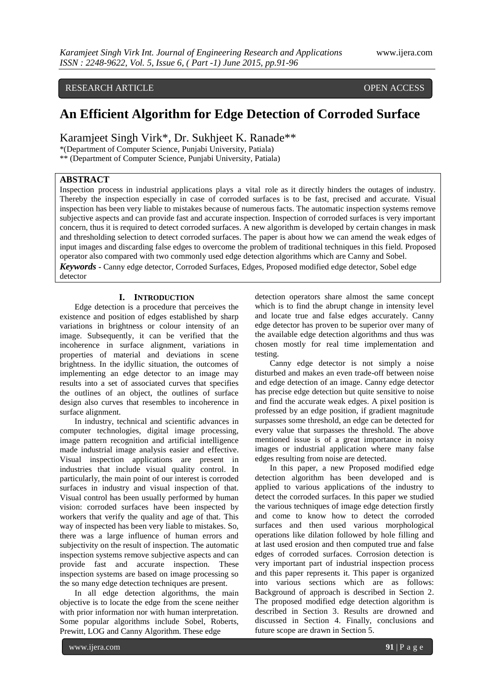## RESEARCH ARTICLE OPEN ACCESS

# **An Efficient Algorithm for Edge Detection of Corroded Surface**

Karamjeet Singh Virk\*, Dr. Sukhjeet K. Ranade\*\*

\*(Department of Computer Science, Punjabi University, Patiala)

\*\* (Department of Computer Science, Punjabi University, Patiala)

## **ABSTRACT**

Inspection process in industrial applications plays a vital role as it directly hinders the outages of industry. Thereby the inspection especially in case of corroded surfaces is to be fast, precised and accurate. Visual inspection has been very liable to mistakes because of numerous facts. The automatic inspection systems remove subjective aspects and can provide fast and accurate inspection. Inspection of corroded surfaces is very important concern, thus it is required to detect corroded surfaces. A new algorithm is developed by certain changes in mask and thresholding selection to detect corroded surfaces. The paper is about how we can amend the weak edges of input images and discarding false edges to overcome the problem of traditional techniques in this field. Proposed operator also compared with two commonly used edge detection algorithms which are Canny and Sobel.

*Keywords* **-** Canny edge detector, Corroded Surfaces, Edges, Proposed modified edge detector, Sobel edge detector

### **I. INTRODUCTION**

Edge detection is a procedure that perceives the existence and position of edges established by sharp variations in brightness or colour intensity of an image. Subsequently, it can be verified that the incoherence in surface alignment, variations in properties of material and deviations in scene brightness. In the idyllic situation, the outcomes of implementing an edge detector to an image may results into a set of associated curves that specifies the outlines of an object, the outlines of surface design also curves that resembles to incoherence in surface alignment.

In industry, technical and scientific advances in computer technologies, digital image processing, image pattern recognition and artificial intelligence made industrial image analysis easier and effective. Visual inspection applications are present in industries that include visual quality control. In particularly, the main point of our interest is corroded surfaces in industry and visual inspection of that. Visual control has been usually performed by human vision: corroded surfaces have been inspected by workers that verify the quality and age of that. This way of inspected has been very liable to mistakes. So, there was a large influence of human errors and subjectivity on the result of inspection. The automatic inspection systems remove subjective aspects and can provide fast and accurate inspection. These inspection systems are based on image processing so the so many edge detection techniques are present.

In all edge detection algorithms, the main objective is to locate the edge from the scene neither with prior information nor with human interpretation. Some popular algorithms include Sobel, Roberts, Prewitt, LOG and Canny Algorithm. These edge

detection operators share almost the same concept which is to find the abrupt change in intensity level and locate true and false edges accurately. Canny edge detector has proven to be superior over many of the available edge detection algorithms and thus was chosen mostly for real time implementation and testing.

Canny edge detector is not simply a noise disturbed and makes an even trade-off between noise and edge detection of an image. Canny edge detector has precise edge detection but quite sensitive to noise and find the accurate weak edges. A pixel position is professed by an edge position, if gradient magnitude surpasses some threshold, an edge can be detected for every value that surpasses the threshold. The above mentioned issue is of a great importance in noisy images or industrial application where many false edges resulting from noise are detected.

In this paper, a new Proposed modified edge detection algorithm has been developed and is applied to various applications of the industry to detect the corroded surfaces. In this paper we studied the various techniques of image edge detection firstly and come to know how to detect the corroded surfaces and then used various morphological operations like dilation followed by hole filling and at last used erosion and then computed true and false edges of corroded surfaces. Corrosion detection is very important part of industrial inspection process and this paper represents it. This paper is organized into various sections which are as follows: Background of approach is described in Section 2. The proposed modified edge detection algorithm is described in Section 3. Results are drowned and discussed in Section 4. Finally, conclusions and future scope are drawn in Section 5.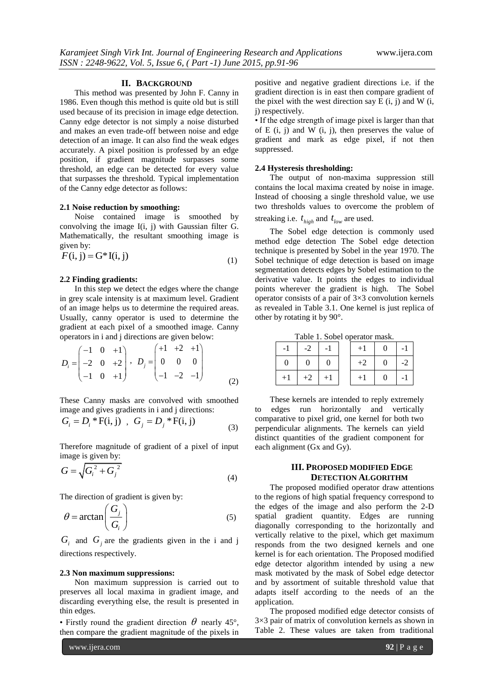#### **II. BACKGROUND**

This method was presented by John F. Canny in 1986. Even though this method is quite old but is still used because of its precision in image edge detection. Canny edge detector is not simply a noise disturbed and makes an even trade-off between noise and edge detection of an image. It can also find the weak edges accurately. A pixel position is professed by an edge position, if gradient magnitude surpasses some threshold, an edge can be detected for every value that surpasses the threshold. Typical implementation of the Canny edge detector as follows:

#### **2.1 Noise reduction by smoothing:**

Noise contained image is smoothed by convolving the image I(i, j) with Gaussian filter G. Mathematically, the resultant smoothing image is given by:

$$
F(i, j) = G^*I(i, j)
$$
\n<sup>(1)</sup>

## **2.2 Finding gradients:**

In this step we detect the edges where the change in grey scale intensity is at maximum level. Gradient of an image helps us to determine the required areas. Usually, canny operator is used to determine the gradient at each pixel of a smoothed image. Canny operators in i and j directions are given below:

$$
D_i = \begin{pmatrix} -1 & 0 & +1 \\ -2 & 0 & +2 \\ -1 & 0 & +1 \end{pmatrix}, \quad D_j = \begin{pmatrix} +1 & +2 & +1 \\ 0 & 0 & 0 \\ -1 & -2 & -1 \end{pmatrix}
$$
 (2)

These Canny masks are convolved with smoothed image and gives gradients in i and j directions:

$$
G_i = D_i * F(i, j) , G_j = D_j * F(i, j)
$$
 (3)

 Therefore magnitude of gradient of a pixel of input image is given by:

$$
G = \sqrt{G_i^2 + G_j^2}
$$
\n(4)

The direction of gradient is given by:

$$
\theta = \arctan\left(\frac{G_j}{G_i}\right) \tag{5}
$$

 $G_i$  and  $G_j$  are the gradients given in the i and j directions respectively.

#### **2.3 Non maximum suppressions:**

Non maximum suppression is carried out to preserves all local maxima in gradient image, and discarding everything else, the result is presented in thin edges.

• Firstly round the gradient direction  $\theta$  nearly 45°, then compare the gradient magnitude of the pixels in

www.ijera.com **92** | P a g e

positive and negative gradient directions i.e. if the gradient direction is in east then compare gradient of the pixel with the west direction say  $E(i, j)$  and  $W(i, j)$ j) respectively.

• If the edge strength of image pixel is larger than that of E  $(i, j)$  and W  $(i, j)$ , then preserves the value of gradient and mark as edge pixel, if not then suppressed.

## **2.4 Hysteresis thresholding:**

The output of non-maxima suppression still contains the local maxima created by noise in image. Instead of choosing a single threshold value, we use two thresholds values to overcome the problem of streaking i.e.  $t_{high}$  and  $t_{low}$  are used.

The Sobel edge detection is commonly used

method edge detection The Sobel edge detection technique is presented by Sobel in the year 1970. The Sobel technique of edge detection is based on image segmentation detects edges by Sobel estimation to the derivative value. It points the edges to individual points wherever the gradient is high. The Sobel operator consists of a pair of 3×3 convolution kernels as revealed in Table 3.1. One kernel is just replica of other by rotating it by 90°.

Table 1. Sobel operator mask.

| $-1$ | $-2$           | $-1$     | $+1$ | $\overline{0}$ | $-1$             |
|------|----------------|----------|------|----------------|------------------|
| 0    | $\overline{0}$ | $\theta$ | $+2$ | $\overline{0}$ | $-2$             |
| $+1$ | $+2$   $+1$    |          | $+1$ | $\overline{0}$ | $\vert -1 \vert$ |

These kernels are intended to reply extremely to edges run horizontally and vertically comparative to pixel grid, one kernel for both two perpendicular alignments. The kernels can yield distinct quantities of the gradient component for each alignment (Gx and Gy).

## **III. PROPOSED MODIFIED EDGE DETECTION ALGORITHM**

The proposed modified operator draw attentions to the regions of high spatial frequency correspond to the edges of the image and also perform the 2-D spatial gradient quantity. Edges are running diagonally corresponding to the horizontally and vertically relative to the pixel, which get maximum responds from the two designed kernels and one kernel is for each orientation. The Proposed modified edge detector algorithm intended by using a new mask motivated by the mask of Sobel edge detector and by assortment of suitable threshold value that adapts itself according to the needs of an the application.

The proposed modified edge detector consists of 3×3 pair of matrix of convolution kernels as shown in Table 2. These values are taken from traditional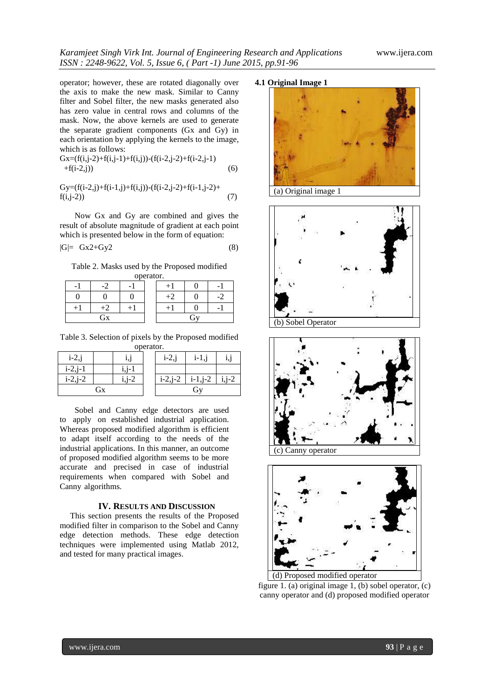operator; however, these are rotated diagonally over the axis to make the new mask. Similar to Canny filter and Sobel filter, the new masks generated also has zero value in central rows and columns of the mask. Now, the above kernels are used to generate the separate gradient components (Gx and Gy) in each orientation by applying the kernels to the image, which is as follows:

$$
Gx=(f(i,j-2)+f(i,j-1)+f(i,j))-(f(i-2,j-2)+f(i-2,j-1) +f(i-2,j))
$$
\n(6)

$$
Gy=(f(i-2,j)+f(i-1,j)+f(i,j))-(f(i-2,j-2)+f(i-1,j-2)+f(i,j-2))
$$
\n(7)

Now Gx and Gy are combined and gives the result of absolute magnitude of gradient at each point which is presented below in the form of equation:

$$
|G| = Gx2+Gy2 \tag{8}
$$

Table 2. Masks used by the Proposed modified operator.

|    | $\overline{\phantom{a}}$ |   |         |    |    |
|----|--------------------------|---|---------|----|----|
|    |                          | 0 | $^{+2}$ |    | -2 |
|    |                          |   |         |    |    |
| Gx |                          |   |         | Gy |    |

Table 3. Selection of pixels by the Proposed modified operator.

| $i-2,j$        |  |       | $i-2,j$        | $i-1,i$   |         |
|----------------|--|-------|----------------|-----------|---------|
| $i - 2, j - 1$ |  |       |                |           |         |
| $i - 2, j - 2$ |  | i,j-2 | $i - 2, j - 2$ | $i-1,j-2$ | $i,j-2$ |
| Gх             |  |       |                | G1        |         |

Sobel and Canny edge detectors are used to apply on established industrial application. Whereas proposed modified algorithm is efficient to adapt itself according to the needs of the industrial applications. In this manner, an outcome of proposed modified algorithm seems to be more accurate and precised in case of industrial requirements when compared with Sobel and Canny algorithms.

## **IV. RESULTS AND DISCUSSION**

 This section presents the results of the Proposed modified filter in comparison to the Sobel and Canny edge detection methods. These edge detection techniques were implemented using Matlab 2012, and tested for many practical images.

## **4.1 Original Image 1**



(a) Original image 1









figure 1. (a) original image 1, (b) sobel operator, (c) canny operator and (d) proposed modified operator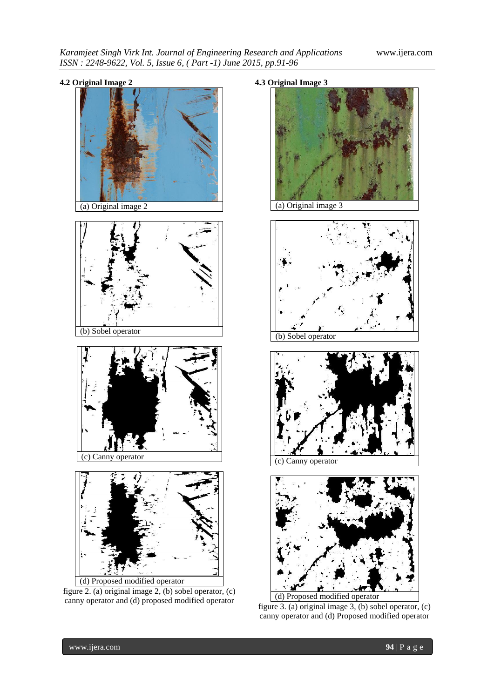



(a) Original image 2





(c) Canny operator



figure 2. (a) original image 2, (b) sobel operator, (c) canny operator and (d) proposed modified operator







(c) Canny operator



figure 3. (a) original image 3, (b) sobel operator, (c) canny operator and (d) Proposed modified operator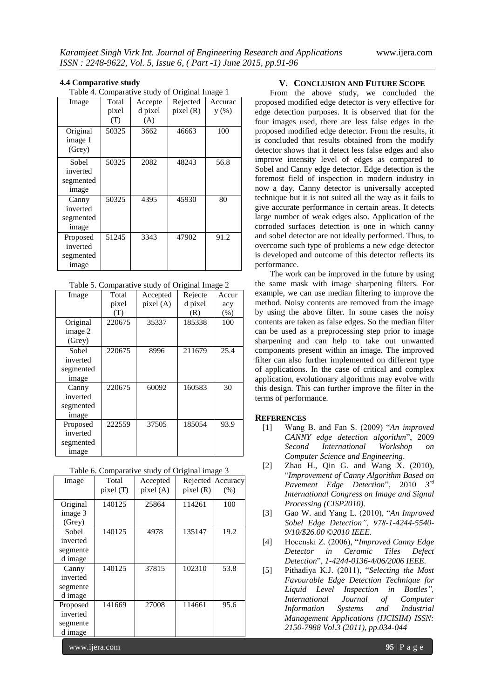### **4.4 Comparative study**

Table 4. Comparative study of Original Image 1

| Image                                      | Total<br>pixel<br>(T) | Accepte<br>d pixel<br>(A) | Rejected<br>pixel(R) | Accurac<br>y(%) |
|--------------------------------------------|-----------------------|---------------------------|----------------------|-----------------|
| Original<br>image 1<br>(Grey)              | 50325                 | 3662                      | 46663                | 100             |
| Sobel<br>inverted<br>segmented<br>image    | 50325                 | 2082                      | 48243                | 56.8            |
| Canny<br>inverted<br>segmented<br>image    | 50325                 | 4395                      | 45930                | 80              |
| Proposed<br>inverted<br>segmented<br>image | 51245                 | 3343                      | 47902                | 91.2            |

| Table 5. Comparative study of Original Image 2 |  |  |
|------------------------------------------------|--|--|
|                                                |  |  |

| $10000$ s. Comparative states of Original Hings $\epsilon$ |        |           |         |       |  |
|------------------------------------------------------------|--------|-----------|---------|-------|--|
| Image                                                      | Total  | Accepted  | Rejecte | Accur |  |
|                                                            | pixel  | pixel (A) | d pixel | acy   |  |
|                                                            | (T)    |           | (R)     | (% )  |  |
| Original                                                   | 220675 | 35337     | 185338  | 100   |  |
| image 2                                                    |        |           |         |       |  |
| (Grey)                                                     |        |           |         |       |  |
| Sobel                                                      | 220675 | 8996      | 211679  | 25.4  |  |
| inverted                                                   |        |           |         |       |  |
| segmented                                                  |        |           |         |       |  |
| image                                                      |        |           |         |       |  |
| Canny                                                      | 220675 | 60092     | 160583  | 30    |  |
| inverted                                                   |        |           |         |       |  |
| segmented                                                  |        |           |         |       |  |
| image                                                      |        |           |         |       |  |
| Proposed                                                   | 222559 | 37505     | 185054  | 93.9  |  |
| inverted                                                   |        |           |         |       |  |
| segmented                                                  |        |           |         |       |  |
| image                                                      |        |           |         |       |  |

| Table 6. Comparative study of Original image 3 |  |  |
|------------------------------------------------|--|--|
|                                                |  |  |

| Image    | Total<br>pixel (T) | Accepted<br>pixel(A) | pixel(R) | Rejected Accuracy<br>(% ) |
|----------|--------------------|----------------------|----------|---------------------------|
| Original | 140125             | 25864                | 114261   | 100                       |
| image 3  |                    |                      |          |                           |
| (Grey)   |                    |                      |          |                           |
| Sobel    | 140125             | 4978                 | 135147   | 19.2                      |
| inverted |                    |                      |          |                           |
| segmente |                    |                      |          |                           |
| d image  |                    |                      |          |                           |
| Canny    | 140125             | 37815                | 102310   | 53.8                      |
| inverted |                    |                      |          |                           |
| segmente |                    |                      |          |                           |
| d image  |                    |                      |          |                           |
| Proposed | 141669             | 27008                | 114661   | 95.6                      |
| inverted |                    |                      |          |                           |
| segmente |                    |                      |          |                           |
| d image  |                    |                      |          |                           |

#### **V. CONCLUSION AND FUTURE SCOPE**

From the above study, we concluded the proposed modified edge detector is very effective for edge detection purposes. It is observed that for the four images used, there are less false edges in the proposed modified edge detector. From the results, it is concluded that results obtained from the modify detector shows that it detect less false edges and also improve intensity level of edges as compared to Sobel and Canny edge detector. Edge detection is the foremost field of inspection in modern industry in now a day. Canny detector is universally accepted technique but it is not suited all the way as it fails to give accurate performance in certain areas. It detects large number of weak edges also. Application of the corroded surfaces detection is one in which canny and sobel detector are not ideally performed. Thus, to overcome such type of problems a new edge detector is developed and outcome of this detector reflects its performance.

The work can be improved in the future by using the same mask with image sharpening filters. For example, we can use median filtering to improve the method. Noisy contents are removed from the image by using the above filter. In some cases the noisy contents are taken as false edges. So the median filter can be used as a preprocessing step prior to image sharpening and can help to take out unwanted components present within an image. The improved filter can also further implemented on different type of applications. In the case of critical and complex application, evolutionary algorithms may evolve with this design. This can further improve the filter in the terms of performance.

#### **REFERENCES**

- [1] Wang B. and Fan S. (2009) "*An improved CANNY edge detection algorithm*", 2009 *Second International Workshop on Computer Science and Engineering.*
- [2] Zhao H., Qin G. and Wang X. (2010), "*Improvement of Canny Algorithm Based on Pavement Edge Detection*", 2010 *3 rd International Congress on Image and Signal Processing (CISP2010).*
- [3] Gao W. and Yang L. (2010), "*An Improved Sobel Edge Detection", 978-1-4244-5540- 9/10/\$26.00 ©2010 IEEE.*
- [4] Hocenski Z. (2006), "*Improved Canny Edge Detector in Ceramic Tiles Defect Detection*", *1-4244-0136-4/06/2006 IEEE.*
- [5] Pithadiya K.J. (2011), "*Selecting the Most Favourable Edge Detection Technique for Liquid Level Inspection in Bottles", International Journal of Computer Information Systems and Industrial Management Applications (IJCISIM) ISSN: 2150-7988 Vol.3 (2011), pp.034-044*

www.ijera.com **95** | P a g e